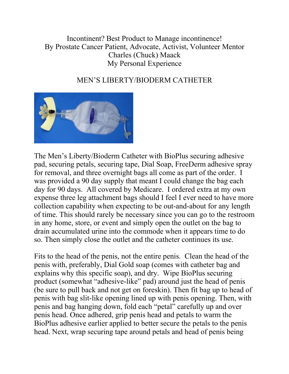Incontinent? Best Product to Manage incontinence! By Prostate Cancer Patient, Advocate, Activist, Volunteer Mentor Charles (Chuck) Maack My Personal Experience

## MEN'S LIBERTY/BIODERM CATHETER



The Men's Liberty/Bioderm Catheter with BioPlus securing adhesive pad, securing petals, securing tape, Dial Soap, FreeDerm adhesive spray for removal, and three overnight bags all come as part of the order. I was provided a 90 day supply that meant I could change the bag each day for 90 days. All covered by Medicare. I ordered extra at my own expense three leg attachment bags should I feel I ever need to have more collection capability when expecting to be out-and-about for any length of time. This should rarely be necessary since you can go to the restroom in any home, store, or event and simply open the outlet on the bag to drain accumulated urine into the commode when it appears time to do so. Then simply close the outlet and the catheter continues its use.

Fits to the head of the penis, not the entire penis. Clean the head of the penis with, preferably, Dial Gold soap (comes with catheter bag and explains why this specific soap), and dry. Wipe BioPlus securing product (somewhat "adhesive-like" pad) around just the head of penis (be sure to pull back and not get on foreskin). Then fit bag up to head of penis with bag slit-like opening lined up with penis opening. Then, with penis and bag hanging down, fold each "petal" carefully up and over penis head. Once adhered, grip penis head and petals to warm the BioPlus adhesive earlier applied to better secure the petals to the penis head. Next, wrap securing tape around petals and head of penis being